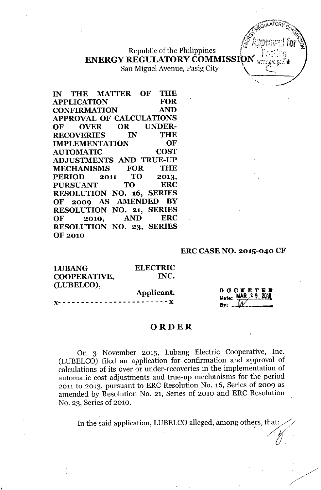# Republic of the Philippines ENERGY REGULATORY COMMISSION

San Miguel Avenue, Pasig City

**IN THE MATTER OF THE APPLICATION FOR CONFIRMATION AND APPROVAL OF CALCULATIONS OF OVER OR UNDER-RECOVERIES IN THE IMPLEMENTATION OF** AUTOMATIC COST **ADJUSTMENTS AND TRUE-UP MECHANISMS FOR THE PERIOD 2011 TO 2013, PURSUANT TO ERC RESOLUTION NO. 16, SERIES OF 2009 AS AMENDED BY RESOLUTION NO. 21, SERIES OF 2010, AND ERC RESOLUTION NO. 23, SERIES** OF 2010

#### **ERC CASE NO. 2015-040 CF**

 $\mathbf{V}^{(n)}$ 

| <b>ELECTRIC</b> |                                      |
|-----------------|--------------------------------------|
| INC.            |                                      |
|                 | D O C K E T E D<br>Date: MAR 29 2016 |
|                 | <b>By:</b>                           |
|                 | Applicant.                           |

#### **ORDER**

On 3 November 2015, Lubang Electric Cooperative, Inc. (LUBELCO) filed an application for confirmation and approval of calculations of its over or under-recoveries in the implementation of automatic cost adjustments and true-up mechanisms for the period 2011 to 2013, pursuant to ERC Resolution No. 16, Series of 2009 as amended by Resolution No. 21, Series of 2010 and ERC Resolution No. 23, Series of 2010.

In the said application, LUBELCO alleged, among others, that: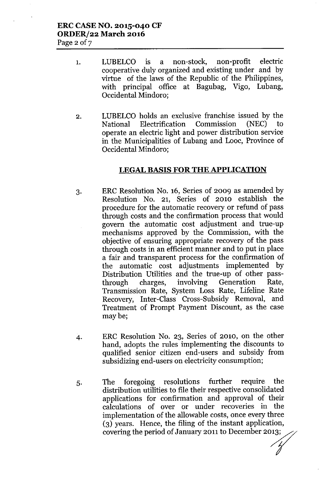- 1. LUBELCO is a non-stock, non-profit electric cooperative duly organized and existing under and by virtue of the laws of the Republic of the Philippines, with principal office at Bagubag, Vigo, Lubang, Occidental Mindoro;
- 2. LUBELCO holds an exclusive franchise issued by the National Electrification Commission (NEC) to operate an electric light and power distribution service in the Municipalities of Lubang and Looc, Province of Occidental Mindoro;

#### **LEGAL BASIS FOR THE APPLICATION**

- 3. ERC Resolution No. 16, Series of 2009 as amended by Resolution No. 21, Series of 2010 establish the procedure for the automatic recovery or refund of pass through costs and the confirmation process that would govern the automatic cost adjustment and true-up mechanisms approved by the Commission, with the objective of ensuring appropriate recovery of the pass through costs in an efficient manner and to put in place a fair and transparent process for the confirmation of the automatic cost adjustments implemented by Distribution Utilities and the true-up of other passthrough charges, involving Generation Rate, Transmission Rate, System Loss Rate, Lifeline Rate Recovery, Inter-Class Cross-Subsidy Removal, and Treatment of Prompt Payment Discount, as the case maybe;
- 4. ERC Resolution No. 23, Series of 2010, on the other hand, adopts the rules implementing the discounts to qualified senior citizen end-users and subsidy from subsidizing end-users on electricity consumption;
- 5. The foregoing resolutions further require the distribution utilities to file their respective consolidated applications for confirmation and approval of their calculations of over or under recoveries in the implementation of the allowable costs, once every three (3) years. Hence, the filing of the instant application, covering the period of January 2011 to December 2013;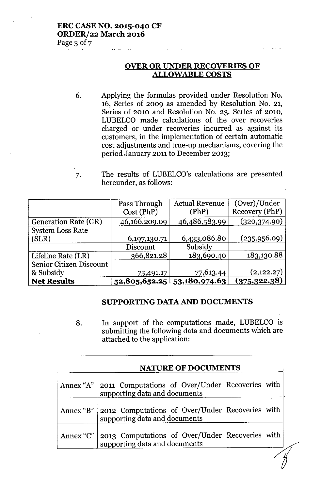## **ERC CASE NO. 2015-040 CF ORDER/22 March 2016**

Page 3 of 7

### **OVER OR UNDER RECOVERIES OF ALLOWABLE COSTS**

- 6. Applying the formulas provided under Resolution No. 16, Series of 2009 as amended by Resolution No. 21, Series of 2010 and Resolution No. 23, Series of 2010, LUBELCO made calculations of the over recoveries charged or under recoveries incurred as against its customers, in the implementation of certain automatic cost adjustments and true-up mechanisms, covering the period January 2011 to December 2013;
- 7. The results of LUBELCO's calculations are presented hereunder, as follows:

|                             | Pass Through  | <b>Actual Revenue</b>           | (Over)/Under   |
|-----------------------------|---------------|---------------------------------|----------------|
|                             | Cost (PhP)    | (PhP)                           | Recovery (PhP) |
| <b>Generation Rate (GR)</b> | 46,166,209.09 | 46,486,583.99                   | (320, 374.90)  |
| <b>System Loss Rate</b>     |               |                                 |                |
| (SLR)                       | 6,197,130.71  | 6,433,086.80                    | (235,956.09)   |
|                             | Discount      | Subsidy                         |                |
| Lifeline Rate (LR)          | 366,821.28    | 183,690.40                      | 183,130.88     |
| Senior Citizen Discount     |               |                                 |                |
| & Subsidy                   | 75,491.17     | 77,613.44                       | (2,122.27)     |
| <b>Net Results</b>          |               | $52,805,652.25$ $53,180,974.63$ | (375, 322.38)  |

#### **SUPPORTING** DATA AND **DOCUMENTS**

8. In support of the computations made, LUBELCO is submitting the following data and documents which are attached to the application:

| <b>NATURE OF DOCUMENTS</b>                                                                   |  |  |  |
|----------------------------------------------------------------------------------------------|--|--|--|
| Annex "A"   2011 Computations of Over/Under Recoveries with<br>supporting data and documents |  |  |  |
| Annex "B"   2012 Computations of Over/Under Recoveries with<br>supporting data and documents |  |  |  |
| Annex "C"   2013 Computations of Over/Under Recoveries with<br>supporting data and documents |  |  |  |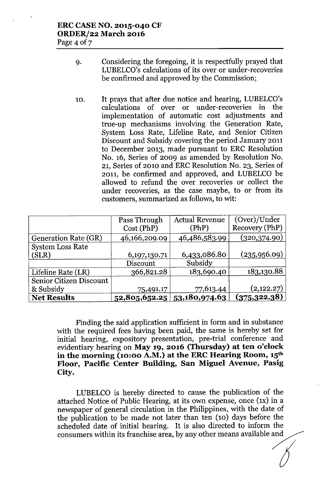- 9. Considering the foregoing, it is respectfully prayed that LUBELCO's calculations of its over or under-recoveries be confirmed and approved by the Commission;
- 10. It prays that after due notice and hearing, LUBELCO's calculations of over or under-recoveries in the implementation of automatic cost adjustments and true-up mechanisms involving the Generation Rate, System Loss Rate, Lifeline Rate, and Senior Citizen Discount and Subsidy covering the period January 2011 to December 2013, made pursuant to ERC Resolution No. 16, Series of 2009 as amended by Resolution No. 21, Series of 2010 and ERC Resolution No. 23, Series of 2011, be confirmed and approved, and LUBELCO be allowed to refund the over recoveries or collect the under recoveries, as the case maybe, to or from its customers, summarized as follows, to wit:

|                                | Pass Through    | <b>Actual Revenue</b>         | (Over)/Under   |
|--------------------------------|-----------------|-------------------------------|----------------|
|                                | Cost (PhP)      | (PhP)                         | Recovery (PhP) |
| <b>Generation Rate (GR)</b>    | 46,166,209.09   | 46,486,583.99                 | (320, 374.90)  |
| <b>System Loss Rate</b>        |                 |                               |                |
| (SLR)                          | 6, 197, 130. 71 | 6,433,086.80                  | (235,956.09)   |
|                                | Discount        | Subsidy                       |                |
| Lifeline Rate (LR)             | 366,821.28      | 183,690.40                    | 183,130.88     |
| <b>Senior Citizen Discount</b> |                 |                               |                |
| & Subsidy                      | 75,491.17       | 77,613.44                     | (2,122.27)     |
| <b>Net Results</b>             |                 | 52,805,652.25   53,180,974.63 | (375, 322.38)  |

Finding the said application sufficient in form and in substance with the required fees having been paid, the same is hereby set for initial hearing, expository presentation, pre-trial conference and evidentiary hearing on **May 19, 2016 (Thursday) at ten o'clock in the morning (10:00 A.M.) at the ERC Hearing Room, 15th Floor, Pacific Center Building, San Miguel Avenue, Pasig City.**

LUBELCO is hereby directed to cause the publication of the attached Notice of Public Hearing, at its own expense, once (1x) in a newspaper of general circulation in the Philippines, with the date of the publication to be made not later than ten (10) days before the scheduled date of initial hearing. It is also directed to inform the consumers within its franchise area, by any other means available and 'I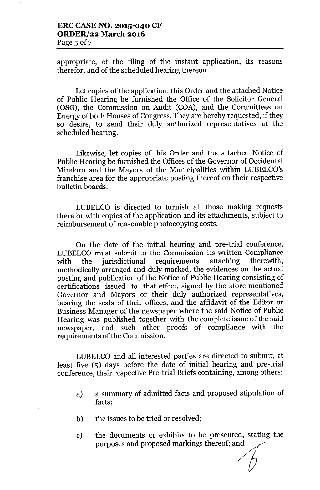appropriate, of the filing of the instant application, its reasons therefor, and of the scheduled hearing thereon.

Let copies of the application, this Order and the attached Notice of Public Hearing be furnished the Office of the Solicitor General (OSG), the Commission on Audit (COA), and the Committees on Energy of both Houses of Congress. They are hereby requested, if they so desire, to send their duly authorized representatives at the scheduled hearing.

Likewise, let copies of this Order and the attached Notice of Public Hearing be furnished the Offices of the Governor of Occidental Mindoro and the Mayors of the Municipalities within LUBELCO's franchise area for the appropriate posting thereof on their respective bulletin boards.

LUBELCO is directed to furnish all those making requests therefor with copies of the application and its attachments, subject to reimbursement of reasonable photocopying costs.

On the date of the initial hearing and pre-trial conference, LUBELCO must submit to the Commission its written Compliance with the jurisdictional requirements attaching therewith, methodically arranged and duly marked, the evidences on the actual posting and publication of the Notice of Public Hearing consisting of certifications issued to that effect, signed by the afore-mentioned Governor and Mayors or their duly authorized representatives, bearing the seals of their offices, and the affidavit of the Editor or Business Manager of the newspaper where the said Notice of Public Hearing was published together with the complete issue of the said newspaper, and such other proofs of compliance with the requirements of the Commission.

LUBELCO and all interested parties are directed to submit, at least five (5) days before the date of initial hearing and pre-trial conference, their respective Pre-trial Briefs containing, among others:

- a) a summary of admitted facts and proposed stipulation of facts;
- b) the issues to be tried or resolved;
- c) the documents or exhibits to be presented, stating the purposes and proposed markings thereof; and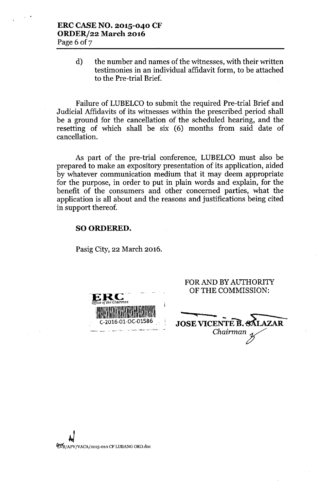d) the number and names of the witnesses, with their written testimonies in an individual affidavit form, to be attached to the Pre-trial Brief.

Failure of LUBELCO to submit the required Pre-trial Brief and Judicial Affidavits of its witnesses within the prescribed period shall be a ground for the cancellation of the scheduled hearing, and the resetting of which shall be six (6) months from said date of cancellation.

As part of the pre-trial conference, LUBELCO must also be prepared to make an expository presentation of its application, aided by whatever communication medium that it may deem appropriate for the purpose, in order to put in plain words and explain, for the benefit of the consumers and other concerned parties, what the application is all about and the reasons and justifications being cited in support thereof.

#### SO ORDERED.

Pasig City, 22 March 2016.

| ERC<br>Office of the Chairman |      |
|-------------------------------|------|
|                               |      |
|                               |      |
| C-2016-01-OC-01586            | JOS1 |
|                               |      |

#### FOR AND BY AUTHORITY **OF THE COMMISSION:**

Chairman